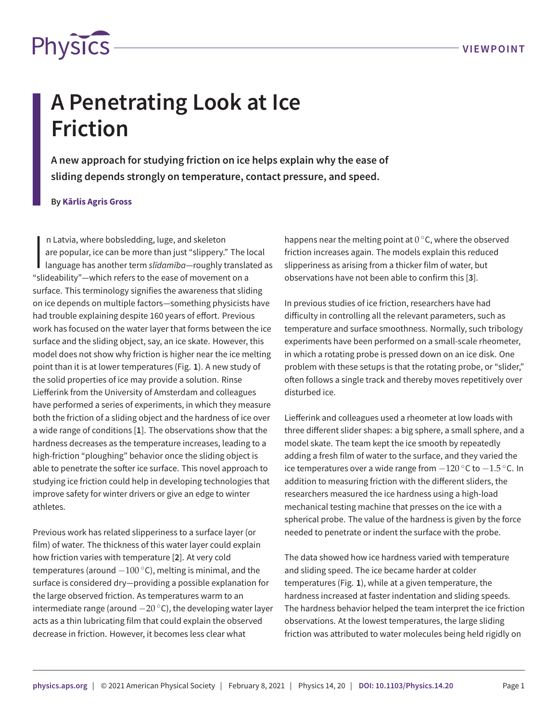

# **A Penetrating Look at Ice Friction**

**A new approach for studying friction on ice helps explain why the ease of sliding depends strongly on temperature, contact pressure, and speed.**

## **By Kārlis Agris Gross**

In Latvia, where bobsledding, luge, and skeleton<br>are popular, ice can be more than just "slippery." The lot<br>language has another term slidamiba—roughly transla<br>"slideability"—which refers to the ease of movement on a n Latvia, where bobsledding, luge, and skeleton are popular, ice can be more than just "slippery." The local language has another term *slīdamība*—roughly translated as surface. This terminology signifies the awareness that sliding on ice depends on multiple factors—something physicists have had trouble explaining despite 160 years of effort. Previous work has focused on the water layer that forms between the ice surface and the sliding object, say, an ice skate. However, this model does not show why friction is higher near the ice melting point than it is at lower temperatures (Fig. **[1](#page-1-0)**). A new study of the solid properties of ice may provide a solution. Rinse Liefferink from the University of Amsterdam and colleagues have performed a series of experiments, in which they measure both the friction of a sliding object and the hardness of ice over a wide range of conditions [**[1](#page-2-0)**]. The observations show that the hardness decreases as the temperature increases, leading to a high-friction "ploughing" behavior once the sliding object is able to penetrate the softer ice surface. This novel approach to studying ice friction could help in developing technologies that improve safety for winter drivers or give an edge to winter athletes.

Previous work has related slipperiness to a surface layer (or film) of water. The thickness of this water layer could explain how friction varies with temperature [**[2](#page-2-1)**]. At very cold temperatures (around *−*100 *◦*C), melting is minimal, and the surface is considered dry—providing a possible explanation for the large observed friction. As temperatures warm to an intermediate range (around *−*20 *◦*C), the developing water layer acts as a thin lubricating film that could explain the observed decrease in friction. However, it becomes less clear what

happens near the melting point at 0 *◦*C, where the observed friction increases again. The models explain this reduced slipperiness as arising from a thicker film of water, but observations have not been able to confirm this [**[3](#page-2-2)**].

In previous studies of ice friction, researchers have had difficulty in controlling all the relevant parameters, such as temperature and surface smoothness. Normally, such tribology experiments have been performed on a small-scale rheometer, in which a rotating probe is pressed down on an ice disk. One problem with these setups is that the rotating probe, or "slider," often follows a single track and thereby moves repetitively over disturbed ice.

Liefferink and colleagues used a rheometer at low loads with three different slider shapes: a big sphere, a small sphere, and a model skate. The team kept the ice smooth by repeatedly adding a fresh film of water to the surface, and they varied the ice temperatures over a wide range from *−*120 *◦*C to *−*1.5 *◦*C. In addition to measuring friction with the different sliders, the researchers measured the ice hardness using a high-load mechanical testing machine that presses on the ice with a spherical probe. The value of the hardness is given by the force needed to penetrate or indent the surface with the probe.

The data showed how ice hardness varied with temperature and sliding speed. The ice became harder at colder temperatures (Fig. **[1](#page-1-0)**), while at a given temperature, the hardness increased at faster indentation and sliding speeds. The hardness behavior helped the team interpret the ice friction observations. At the lowest temperatures, the large sliding friction was attributed to water molecules being held rigidly on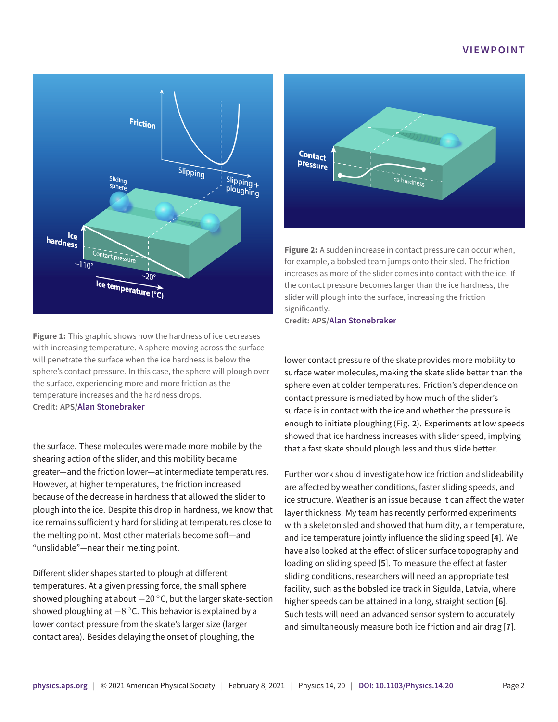# **VIEWPOINT**

<span id="page-1-0"></span>

**Figure 1:** This graphic shows how the hardness of ice decreases with increasing temperature. A sphere moving across the surface will penetrate the surface when the ice hardness is below the sphere's contact pressure. In this case, the sphere will plough over the surface, experiencing more and more friction as the temperature increases and the hardness drops. **Credit: APS/[Alan Stonebraker](http://alanstonebraker.com)**

the surface. These molecules were made more mobile by the shearing action of the slider, and this mobility became greater—and the friction lower—at intermediate temperatures. However, at higher temperatures, the friction increased because of the decrease in hardness that allowed the slider to plough into the ice. Despite this drop in hardness, we know that ice remains sufficiently hard for sliding at temperatures close to the melting point. Most other materials become soft—and "unslidable"—near their melting point.

Different slider shapes started to plough at different temperatures. At a given pressing force, the small sphere showed ploughing at about *−*20 *◦*C, but the larger skate-section showed ploughing at *−*8 *◦*C. This behavior is explained by a lower contact pressure from the skate's larger size (larger contact area). Besides delaying the onset of ploughing, the

<span id="page-1-1"></span>

**Figure 2:** A sudden increase in contact pressure can occur when, for example, a bobsled team jumps onto their sled. The friction increases as more of the slider comes into contact with the ice. If the contact pressure becomes larger than the ice hardness, the slider will plough into the surface, increasing the friction significantly.

**Credit: APS/[Alan Stonebraker](http://alanstonebraker.com)**

lower contact pressure of the skate provides more mobility to surface water molecules, making the skate slide better than the sphere even at colder temperatures. Friction's dependence on contact pressure is mediated by how much of the slider's surface is in contact with the ice and whether the pressure is enough to initiate ploughing (Fig. **[2](#page-1-1)**). Experiments at low speeds showed that ice hardness increases with slider speed, implying that a fast skate should plough less and thus slide better.

Further work should investigate how ice friction and slideability are affected by weather conditions, faster sliding speeds, and ice structure. Weather is an issue because it can affect the water layer thickness. My team has recently performed experiments with a skeleton sled and showed that humidity, air temperature, and ice temperature jointly influence the sliding speed [**[4](#page-2-3)**]. We have also looked at the effect of slider surface topography and loading on sliding speed [**[5](#page-2-4)**]. To measure the effect at faster sliding conditions, researchers will need an appropriate test facility, such as the bobsled ice track in Sigulda, Latvia, where higher speeds can be attained in a long, straight section [**[6](#page-2-5)**]. Such tests will need an advanced sensor system to accurately and simultaneously measure both ice friction and air drag [**[7](#page-2-6)**].